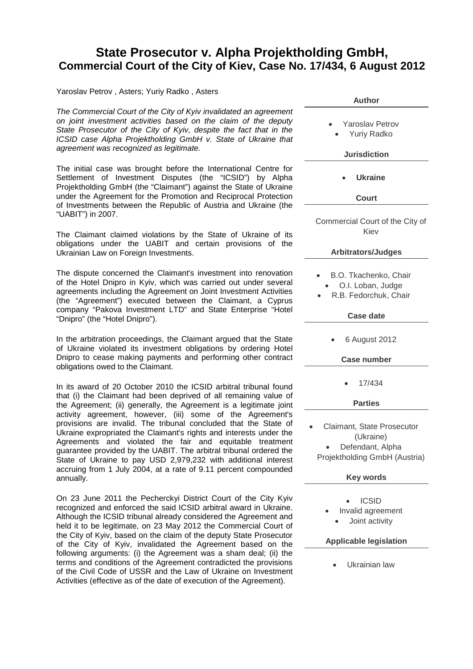## **State Prosecutor v. Alpha Projektholding GmbH, Commercial Court of the City of Kiev, Case No. 17/434, 6 August 2012**

Yaroslav Petrov , Asters; Yuriy Radko , Asters

*The Commercial Court of the City of Kyiv invalidated an agreement on joint investment activities based on the claim of the deputy State Prosecutor of the City of Kyiv, despite the fact that in the ICSID case Alpha Projektholding GmbH v. State of Ukraine that agreement was recognized as legitimate.*

The initial case was brought before the International Centre for Settlement of Investment Disputes (the "ICSID") by Alpha Projektholding GmbH (the "Claimant") against the State of Ukraine under the Agreement for the Promotion and Reciprocal Protection of Investments between the Republic of Austria and Ukraine (the "UABIT") in 2007.

The Claimant claimed violations by the State of Ukraine of its obligations under the UABIT and certain provisions of the Ukrainian Law on Foreign Investments.

The dispute concerned the Claimant's investment into renovation of the Hotel Dnipro in Kyiv, which was carried out under several agreements including the Agreement on Joint Investment Activities (the "Agreement") executed between the Claimant, a Cyprus company "Pakova Investment LTD" and State Enterprise "Hotel "Dnipro" (the "Hotel Dnipro").

In the arbitration proceedings, the Claimant argued that the State of Ukraine violated its investment obligations by ordering Hotel Dnipro to cease making payments and performing other contract obligations owed to the Claimant.

In its award of 20 October 2010 the ICSID arbitral tribunal found that (i) the Claimant had been deprived of all remaining value of the Agreement; (ii) generally, the Agreement is a legitimate joint activity agreement, however, (iii) some of the Agreement's provisions are invalid. The tribunal concluded that the State of Ukraine expropriated the Claimant's rights and interests under the Agreements and violated the fair and equitable treatment guarantee provided by the UABIT. The arbitral tribunal ordered the State of Ukraine to pay USD 2,979,232 with additional interest accruing from 1 July 2004, at a rate of 9.11 percent compounded annually.

On 23 June 2011 the Pecherckyi District Court of the City Kyiv recognized and enforced the said ICSID arbitral award in Ukraine. Although the ICSID tribunal already considered the Agreement and held it to be legitimate, on 23 May 2012 the Commercial Court of the City of Kyiv, based on the claim of the deputy State Prosecutor of the City of Kyiv, invalidated the Agreement based on the following arguments: (i) the Agreement was a sham deal; (ii) the terms and conditions of the Agreement contradicted the provisions of the Civil Code of USSR and the Law of Ukraine on Investment Activities (effective as of the date of execution of the Agreement).

| <b>Author</b>                                                                                |
|----------------------------------------------------------------------------------------------|
| <b>Yaroslav Petrov</b><br><b>Yuriy Radko</b>                                                 |
| <b>Jurisdiction</b>                                                                          |
| <b>Ukraine</b>                                                                               |
| Court                                                                                        |
| Commercial Court of the City of<br>Kiev                                                      |
| <b>Arbitrators/Judges</b>                                                                    |
| B.O. Tkachenko, Chair<br>O.I. Loban, Judge<br>R.B. Fedorchuk, Chair                          |
| <b>Case date</b>                                                                             |
| 6 August 2012                                                                                |
| <b>Case number</b>                                                                           |
| 17/434                                                                                       |
| <b>Parties</b>                                                                               |
| Claimant, State Prosecutor<br>(Ukraine)<br>Defendant, Alpha<br>Projektholding GmbH (Austria) |
| <b>Key words</b>                                                                             |
| <b>ICSID</b><br>Invalid agreement<br>Joint activity<br><b>Applicable legislation</b>         |
| Ukrainian law                                                                                |